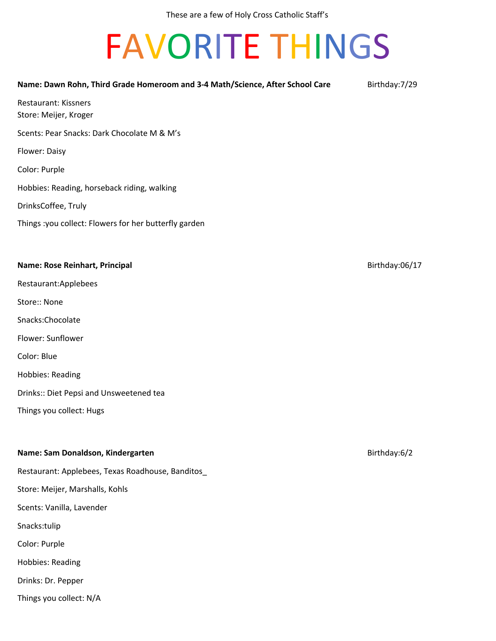# FAVORITE THINGS

| Name: Dawn Rohn, Third Grade Homeroom and 3-4 Math/Science, After School Care | Birthday: 7/29 |
|-------------------------------------------------------------------------------|----------------|
| <b>Restaurant: Kissners</b><br>Store: Meijer, Kroger                          |                |
| Scents: Pear Snacks: Dark Chocolate M & M's                                   |                |
| Flower: Daisy                                                                 |                |
| Color: Purple                                                                 |                |
| Hobbies: Reading, horseback riding, walking                                   |                |
| DrinksCoffee, Truly                                                           |                |
| Things : you collect: Flowers for her butterfly garden                        |                |
|                                                                               |                |
| Name: Rose Reinhart, Principal                                                | Birthday:06/17 |
| Restaurant:Applebees                                                          |                |
| Store:: None                                                                  |                |
| Snacks:Chocolate                                                              |                |
| Flower: Sunflower                                                             |                |
| Color: Blue                                                                   |                |
| <b>Hobbies: Reading</b>                                                       |                |
| Drinks:: Diet Pepsi and Unsweetened tea                                       |                |
| Things you collect: Hugs                                                      |                |
|                                                                               |                |
| Name: Sam Donaldson, Kindergarten                                             | Birthday:6/2   |
| Restaurant: Applebees, Texas Roadhouse, Banditos_                             |                |
| Store: Meijer, Marshalls, Kohls                                               |                |
| Scents: Vanilla, Lavender                                                     |                |
| Snacks:tulip                                                                  |                |
| Color: Purple                                                                 |                |
|                                                                               |                |

Hobbies: Reading

Drinks: Dr. Pepper

Things you collect: N/A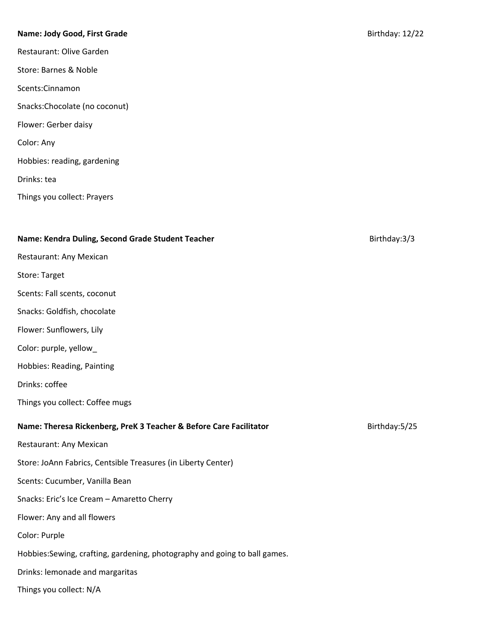# **Name: Jody Good, First Grade** Birthday: 12/22

Restaurant: Olive Garden Store: Barnes & Noble Scents:Cinnamon Snacks:Chocolate (no coconut) Flower: Gerber daisy Color: Any Hobbies: reading, gardening Drinks: tea Things you collect: Prayers

# **Name: Kendra Duling, Second Grade Student Teacher** Birthday:3/3

# Restaurant: Any Mexican

- Store: Target
- Scents: Fall scents, coconut
- Snacks: Goldfish, chocolate
- Flower: Sunflowers, Lily
- Color: purple, yellow\_
- Hobbies: Reading, Painting
- Drinks: coffee
- Things you collect: Coffee mugs

# **Name: Theresa Rickenberg, PreK 3 Teacher & Before Care Facilitator** Birthday:5/25

- Restaurant: Any Mexican
- Store: JoAnn Fabrics, Centsible Treasures (in Liberty Center)
- Scents: Cucumber, Vanilla Bean
- Snacks: Eric's Ice Cream Amaretto Cherry
- Flower: Any and all flowers
- Color: Purple
- Hobbies:Sewing, crafting, gardening, photography and going to ball games.
- Drinks: lemonade and margaritas
- Things you collect: N/A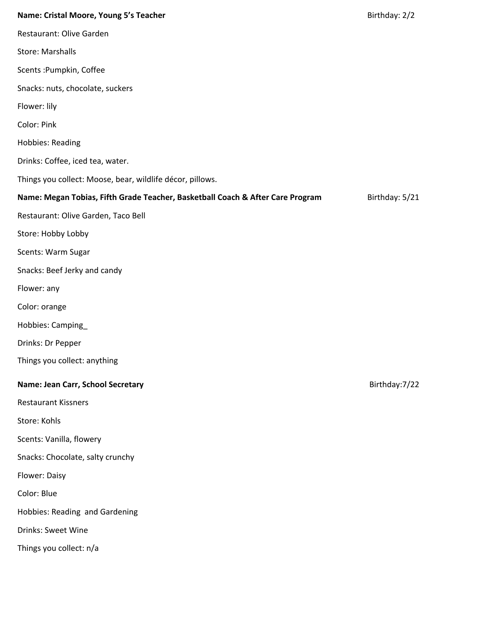# **Name: Cristal Moore, Young 5's Teacher** Birthday: 2/2

| Restaurant: Olive Garden                                                                         |  |
|--------------------------------------------------------------------------------------------------|--|
| <b>Store: Marshalls</b>                                                                          |  |
| Scents : Pumpkin, Coffee                                                                         |  |
| Snacks: nuts, chocolate, suckers                                                                 |  |
| Flower: lily                                                                                     |  |
| Color: Pink                                                                                      |  |
| <b>Hobbies: Reading</b>                                                                          |  |
| Drinks: Coffee, iced tea, water.                                                                 |  |
| Things you collect: Moose, bear, wildlife décor, pillows.                                        |  |
| Name: Megan Tobias, Fifth Grade Teacher, Basketball Coach & After Care Program<br>Birthday: 5/21 |  |
| Restaurant: Olive Garden, Taco Bell                                                              |  |
| Store: Hobby Lobby                                                                               |  |
| Scents: Warm Sugar                                                                               |  |
| Snacks: Beef Jerky and candy                                                                     |  |
| Flower: any                                                                                      |  |
| Color: orange                                                                                    |  |
| Hobbies: Camping                                                                                 |  |
| Drinks: Dr Pepper                                                                                |  |
| Things you collect: anything                                                                     |  |
| Name: Jean Carr, School Secretary<br>Birthday: 7/22                                              |  |
| <b>Restaurant Kissners</b>                                                                       |  |
| Store: Kohls                                                                                     |  |
| Scents: Vanilla, flowery                                                                         |  |
| Snacks: Chocolate, salty crunchy                                                                 |  |
| Flower: Daisy                                                                                    |  |
| Color: Blue                                                                                      |  |
| Hobbies: Reading and Gardening                                                                   |  |

Drinks: Sweet Wine

Things you collect: n/a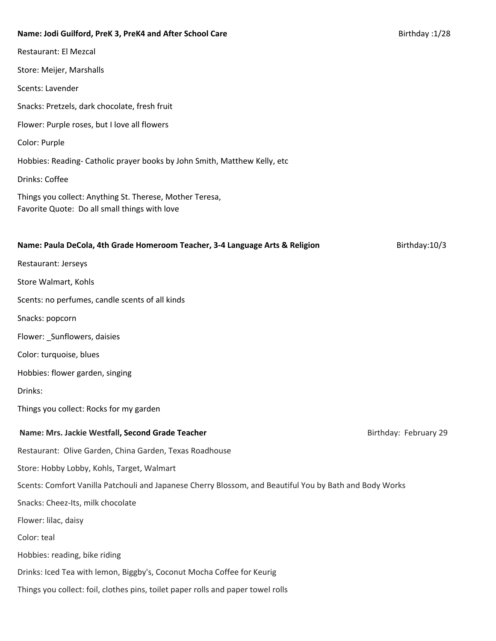| Name: Jodi Guilford, PreK 3, PreK4 and After School Care                                                  | Birthday: 1/28 |
|-----------------------------------------------------------------------------------------------------------|----------------|
| <b>Restaurant: El Mezcal</b>                                                                              |                |
| Store: Meijer, Marshalls                                                                                  |                |
| Scents: Lavender                                                                                          |                |
| Snacks: Pretzels, dark chocolate, fresh fruit                                                             |                |
| Flower: Purple roses, but I love all flowers                                                              |                |
| Color: Purple                                                                                             |                |
| Hobbies: Reading- Catholic prayer books by John Smith, Matthew Kelly, etc                                 |                |
| Drinks: Coffee                                                                                            |                |
| Things you collect: Anything St. Therese, Mother Teresa,<br>Favorite Quote: Do all small things with love |                |
| Name: Paula DeCola, 4th Grade Homeroom Teacher, 3-4 Language Arts & Religion                              | Birthday: 10/3 |
| Restaurant: Jerseys                                                                                       |                |
| Store Walmart, Kohls                                                                                      |                |
| Scents: no perfumes, candle scents of all kinds                                                           |                |
| Snacks: popcorn                                                                                           |                |
| Flower: _Sunflowers, daisies                                                                              |                |
| Color: turquoise, blues                                                                                   |                |
| Hobbies: flower garden, singing                                                                           |                |
| Drinks:                                                                                                   |                |

Things you collect: Rocks for my garden

# **Name: Mrs. Jackie Westfall, Second Grade Teacher** Birthday: February 29

Restaurant: Olive Garden, China Garden, Texas Roadhouse

Store: Hobby Lobby, Kohls, Target, Walmart

Scents: Comfort Vanilla Patchouli and Japanese Cherry Blossom, and Beautiful You by Bath and Body Works

Snacks: Cheez-Its, milk chocolate

Flower: lilac, daisy

Color: teal

Hobbies: reading, bike riding

Drinks: Iced Tea with lemon, Biggby's, Coconut Mocha Coffee for Keurig

Things you collect: foil, clothes pins, toilet paper rolls and paper towel rolls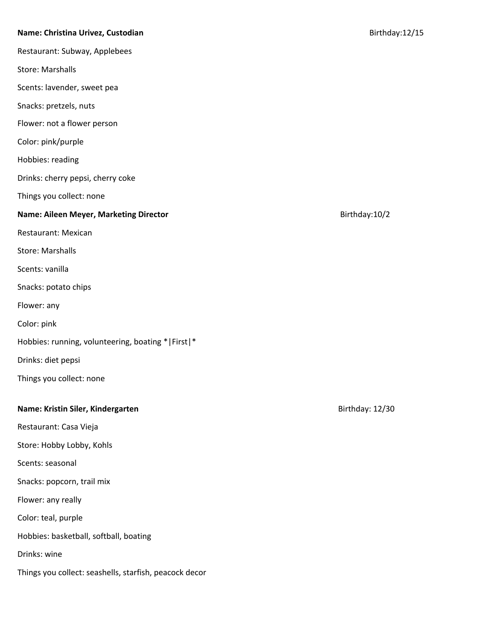## **Name: Christina Urivez, Custodian** Birthday:12/15

Restaurant: Subway, Applebees

Store: Marshalls

Scents: lavender, sweet pea

Snacks: pretzels, nuts

Flower: not a flower person

Color: pink/purple

Hobbies: reading

Drinks: cherry pepsi, cherry coke

Things you collect: none

**Name: Aileen Meyer, Marketing Director Birthday:10/2 Birthday:10/2** 

Restaurant: Mexican

Store: Marshalls

Scents: vanilla

Snacks: potato chips

Flower: any

Color: pink

Hobbies: running, volunteering, boating \*|First|\*

Drinks: diet pepsi

Things you collect: none

# **Name:** Kristin Siler, Kindergarten<br>
Birthday: 12/30

Restaurant: Casa Vieja

Store: Hobby Lobby, Kohls

Scents: seasonal

Snacks: popcorn, trail mix

Flower: any really

Color: teal, purple

Hobbies: basketball, softball, boating

Drinks: wine

Things you collect: seashells, starfish, peacock decor